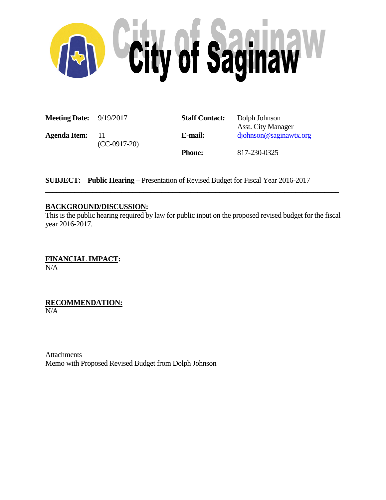

| <b>Meeting Date:</b> 9/19/2017<br><b>Agenda Item:</b> |                        | <b>Staff Contact:</b> | Dolph Johnson<br><b>Asst.</b> City Manager |
|-------------------------------------------------------|------------------------|-----------------------|--------------------------------------------|
|                                                       | - 11<br>$(CC-0917-20)$ | E-mail:               | djohnson@saginawtx.org                     |
|                                                       |                        | <b>Phone:</b>         | 817-230-0325                               |

**SUBJECT: Public Hearing –** Presentation of Revised Budget for Fiscal Year 2016-2017

## **BACKGROUND/DISCUSSION:**

This is the public hearing required by law for public input on the proposed revised budget for the fiscal year 2016-2017.

\_\_\_\_\_\_\_\_\_\_\_\_\_\_\_\_\_\_\_\_\_\_\_\_\_\_\_\_\_\_\_\_\_\_\_\_\_\_\_\_\_\_\_\_\_\_\_\_\_\_\_\_\_\_\_\_\_\_\_\_\_\_\_\_\_\_\_\_\_\_\_\_\_\_\_\_\_\_\_\_\_

**FINANCIAL IMPACT:** N/A

**RECOMMENDATION:** N/A

**Attachments** Memo with Proposed Revised Budget from Dolph Johnson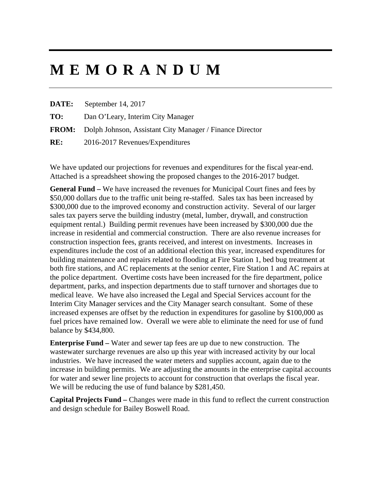# **MEMORANDUM**

**DATE:** September 14, 2017

**TO:** Dan O'Leary, Interim City Manager

**FROM:** Dolph Johnson, Assistant City Manager / Finance Director

**RE:** 2016-2017 Revenues/Expenditures

We have updated our projections for revenues and expenditures for the fiscal year-end. Attached is a spreadsheet showing the proposed changes to the 2016-2017 budget.

**General Fund –** We have increased the revenues for Municipal Court fines and fees by \$50,000 dollars due to the traffic unit being re-staffed. Sales tax has been increased by \$300,000 due to the improved economy and construction activity. Several of our larger sales tax payers serve the building industry (metal, lumber, drywall, and construction equipment rental.) Building permit revenues have been increased by \$300,000 due the increase in residential and commercial construction. There are also revenue increases for construction inspection fees, grants received, and interest on investments. Increases in expenditures include the cost of an additional election this year, increased expenditures for building maintenance and repairs related to flooding at Fire Station 1, bed bug treatment at both fire stations, and AC replacements at the senior center, Fire Station 1 and AC repairs at the police department. Overtime costs have been increased for the fire department, police department, parks, and inspection departments due to staff turnover and shortages due to medical leave. We have also increased the Legal and Special Services account for the Interim City Manager services and the City Manager search consultant. Some of these increased expenses are offset by the reduction in expenditures for gasoline by \$100,000 as fuel prices have remained low. Overall we were able to eliminate the need for use of fund balance by \$434,800.

**Enterprise Fund –** Water and sewer tap fees are up due to new construction. The wastewater surcharge revenues are also up this year with increased activity by our local industries. We have increased the water meters and supplies account, again due to the increase in building permits. We are adjusting the amounts in the enterprise capital accounts for water and sewer line projects to account for construction that overlaps the fiscal year. We will be reducing the use of fund balance by \$281,450.

**Capital Projects Fund –** Changes were made in this fund to reflect the current construction and design schedule for Bailey Boswell Road.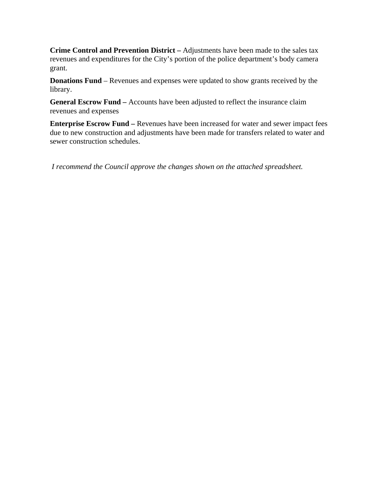**Crime Control and Prevention District –** Adjustments have been made to the sales tax revenues and expenditures for the City's portion of the police department's body camera grant.

**Donations Fund** – Revenues and expenses were updated to show grants received by the library.

**General Escrow Fund –** Accounts have been adjusted to reflect the insurance claim revenues and expenses

**Enterprise Escrow Fund** – Revenues have been increased for water and sewer impact fees due to new construction and adjustments have been made for transfers related to water and sewer construction schedules.

 *I recommend the Council approve the changes shown on the attached spreadsheet.*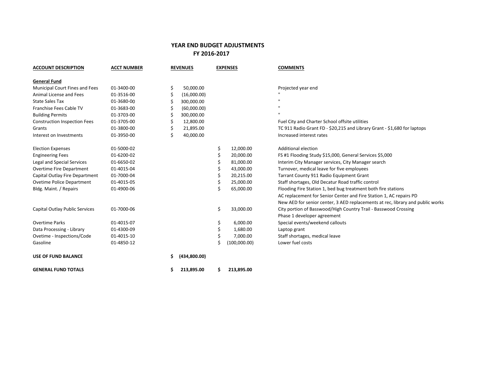### **YEAR END BUDGET ADJUSTMENTS FY 2016‐2017**

| <b>ACCOUNT DESCRIPTION</b>          | <b>ACCT NUMBER</b> |    | <b>REVENUES</b> | <b>EXPENSES</b> |              | <b>COMMENTS</b>                                                                |  |  |  |
|-------------------------------------|--------------------|----|-----------------|-----------------|--------------|--------------------------------------------------------------------------------|--|--|--|
| <b>General Fund</b>                 |                    |    |                 |                 |              |                                                                                |  |  |  |
| Municipal Court Fines and Fees      | 01-3400-00         | Ś  | 50,000.00       |                 |              | Projected year end                                                             |  |  |  |
| Animal License and Fees             | 01-3516-00         |    | (16,000.00)     |                 |              |                                                                                |  |  |  |
| <b>State Sales Tax</b>              | 01-3680-00         |    | 300,000.00      |                 |              |                                                                                |  |  |  |
| Franchise Fees Cable TV             | 01-3683-00         |    | (60,000.00)     |                 |              |                                                                                |  |  |  |
| <b>Building Permits</b>             | 01-3703-00         |    | 300,000.00      |                 |              |                                                                                |  |  |  |
| <b>Construction Inspection Fees</b> | 01-3705-00         |    | 12,800.00       |                 |              | Fuel City and Charter School offsite utilities                                 |  |  |  |
| Grants                              | 01-3800-00         |    | 21,895.00       |                 |              | TC 911 Radio Grant FD - \$20,215 and Library Grant - \$1,680 for laptops       |  |  |  |
| Interest on Investments             | 01-3950-00         | Ś  | 40,000.00       |                 |              | Increased interest rates                                                       |  |  |  |
| <b>Election Expenses</b>            | 01-5000-02         |    |                 | \$              | 12,000.00    | Additional election                                                            |  |  |  |
| <b>Engineering Fees</b>             | 01-6200-02         |    |                 |                 | 20,000.00    | FS #1 Flooding Study \$15,000, General Services \$5,000                        |  |  |  |
| Legal and Special Services          | 01-6650-02         |    |                 |                 | 81,000.00    | Interim City Manager services, City Manager search                             |  |  |  |
| Overtime Fire Department            | 01-4015-04         |    |                 |                 | 43,000.00    | Turnover, medical leave for five employees                                     |  |  |  |
| Capital Outlay Fire Department      | 01-7000-04         |    |                 | \$              | 20,215.00    | Tarrant County 911 Radio Equipment Grant                                       |  |  |  |
| Ovetime Police Department           | 01-4015-05         |    |                 | \$              | 25,000.00    | Staff shortages, Old Decatur Road traffic control                              |  |  |  |
| Bldg. Maint. / Repairs              | 01-4900-06         |    |                 | Ś               | 65,000.00    | Flooding Fire Station 1, bed bug treatment both fire stations                  |  |  |  |
|                                     |                    |    |                 |                 |              | AC replacement for Senior Center and Fire Station 1, AC repairs PD             |  |  |  |
|                                     |                    |    |                 |                 |              | New AED for senior center, 3 AED replacements at rec, library and public works |  |  |  |
| Capital Outlay Public Services      | 01-7000-06         |    |                 | \$              | 33,000.00    | City portion of Basswood/High Country Trail - Basswood Crossing                |  |  |  |
|                                     |                    |    |                 |                 |              | Phase 1 developer agreement                                                    |  |  |  |
| <b>Overtime Parks</b>               | 01-4015-07         |    |                 | \$              | 6,000.00     | Special events/weekend callouts                                                |  |  |  |
| Data Processing - Library           | 01-4300-09         |    |                 | \$              | 1,680.00     | Laptop grant                                                                   |  |  |  |
| Ovetime - Inspections/Code          | 01-4015-10         |    |                 | \$              | 7,000.00     | Staff shortages, medical leave                                                 |  |  |  |
| Gasoline                            | 01-4850-12         |    |                 |                 | (100,000.00) | Lower fuel costs                                                               |  |  |  |
| <b>USE OF FUND BALANCE</b>          |                    | S. | (434,800.00)    |                 |              |                                                                                |  |  |  |
| <b>GENERAL FUND TOTALS</b>          |                    | \$ | 213,895.00      | S.              | 213,895.00   |                                                                                |  |  |  |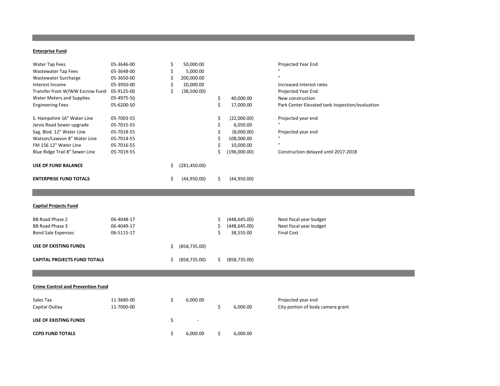#### **Enterprise Fund**

| Water Tap Fees<br>Wastewater Tap Fees    | 05-3646-00<br>05-3648-00 | \$<br>\$ | 50,000.00<br>5,000.00 |     |               | Projected Year End                              |
|------------------------------------------|--------------------------|----------|-----------------------|-----|---------------|-------------------------------------------------|
| Wastewater Surcharge                     | 05-3650-00               | Ś        | 200,000.00            |     |               |                                                 |
| Interest Income                          | 05-3950-00               | Ś        | 20,000.00             |     |               | Increased interest rates                        |
| Transfer from W/WW Escrow Fund           | 05-9125-00               | Ś        | (38,500.00)           |     |               | Projected Year End                              |
| <b>Water Meters and Supplies</b>         | 05-4975-50               |          |                       | \$  | 40,000.00     | New construction                                |
| <b>Engineering Fees</b>                  | 05-6200-50               |          |                       | \$  | 17,000.00     | Park Center Elevated tank inspection/evaluation |
|                                          |                          |          |                       |     |               |                                                 |
| S. Hampshire 16" Water Line              | 05-7003-55               |          |                       | \$  | (22,000.00)   | Projected year end                              |
| Jarvis Road Sewer upgrade                | 05-7015-55               |          |                       | Ś   | 6,050.00      |                                                 |
| Sag. Blvd. 12" Water Line                | 05-7018-55               |          |                       |     | (8,000.00)    | Projected year end                              |
| Watson/Lawson 8" Water Line              | 05-7014-55               |          |                       | \$  | 108,000.00    |                                                 |
| FM 156 12" Water Line                    | 05-7016-55               |          |                       |     | 10,000.00     |                                                 |
| Blue Ridge Trail 8" Sewer Line           | 05-7019-55               |          |                       | Ś   | (196,000.00)  | Construction delayed until 2017-2018            |
| <b>USE OF FUND BALANCE</b>               |                          | \$       | (281, 450.00)         |     |               |                                                 |
| <b>ENTERPRISE FUND TOTALS</b>            |                          | \$       | (44,950.00)           | \$. | (44,950.00)   |                                                 |
|                                          |                          |          |                       |     |               |                                                 |
|                                          |                          |          |                       |     |               |                                                 |
| <b>Capital Projects Fund</b>             |                          |          |                       |     |               |                                                 |
| <b>BB Road Phase 2</b>                   | 06-4048-17               |          |                       | Ś   | (448, 645.00) | Next fiscal year budget                         |
| <b>BB Road Phase 3</b>                   | 06-4049-17               |          |                       | S   | (448, 645.00) | Next fiscal year budget                         |
| <b>Bond Sale Expenses</b>                | 06-5115-17               |          |                       | Ś   | 38,555.00     | <b>Final Cost</b>                               |
| USE OF EXISTING FUNDS                    |                          | \$       | (858, 735.00)         |     |               |                                                 |
|                                          |                          |          |                       |     |               |                                                 |
| <b>CAPITAL PROJECTS FUND TOTALS</b>      |                          | \$.      | (858, 735.00)         | \$  | (858, 735.00) |                                                 |
|                                          |                          |          |                       |     |               |                                                 |
|                                          |                          |          |                       |     |               |                                                 |
| <b>Crime Control and Prevention Fund</b> |                          |          |                       |     |               |                                                 |
| Sales Tax                                | 11-3680-00               | \$       | 6,000.00              |     |               | Projected year end                              |
| Capital Outlay                           | 11-7000-00               |          |                       | \$  | 6,000.00      | City portion of body camera grant               |
|                                          |                          |          |                       |     |               |                                                 |
| USE OF EXISTING FUNDS                    |                          | \$       |                       |     |               |                                                 |
| <b>CCPD FUND TOTALS</b>                  |                          | \$       | 6,000.00              | \$  | 6,000.00      |                                                 |
|                                          |                          |          |                       |     |               |                                                 |